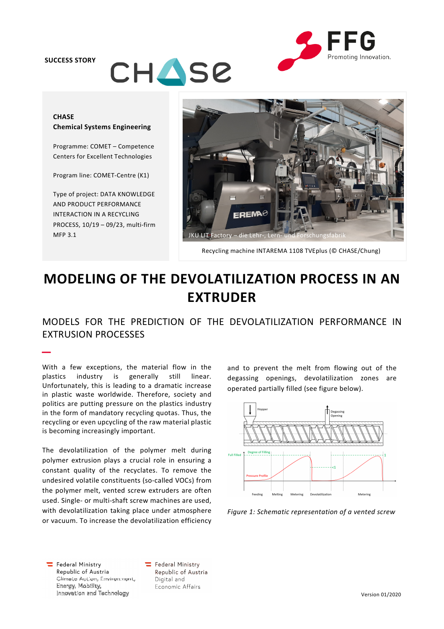#### SUCCESS STORY

–



## **CHASE** Chemical Systems Engineering

**CHASE** 

Programme: COMET – Competence Centers for Excellent Technologies

Program line: COMET-Centre (K1)

Type of project: DATA KNOWLEDGE AND PRODUCT PERFORMANCE INTERACTION IN A RECYCLING PROCESS, 10/19 – 09/23, multi-firm MFP 3.1



Recycling machine INTAREMA 1108 TVEplus (© CHASE/Chung)

# MODELING OF THE DEVOLATILIZATION PROCESS IN AN EXTRUDER

MODELS FOR THE PREDICTION OF THE DEVOLATILIZATION PERFORMANCE IN EXTRUSION PROCESSES

With a few exceptions, the material flow in the plastics industry is generally still linear. Unfortunately, this is leading to a dramatic increase in plastic waste worldwide. Therefore, society and politics are putting pressure on the plastics industry in the form of mandatory recycling quotas. Thus, the recycling or even upcycling of the raw material plastic is becoming increasingly important.

The devolatilization of the polymer melt during polymer extrusion plays a crucial role in ensuring a constant quality of the recyclates. To remove the undesired volatile constituents (so-called VOCs) from the polymer melt, vented screw extruders are often used. Single- or multi-shaft screw machines are used, with devolatilization taking place under atmosphere or vacuum. To increase the devolatilization efficiency

and to prevent the melt from flowing out of the degassing openings, devolatilization zones are operated partially filled (see figure below).



Figure 1: Schematic representation of a vented screw

 $\equiv$  Federal Ministry Republic of Austria Climate Action, Environment, Energy, Mobility, Innovation and Technology

Federal Ministry Republic of Austria Digital and Economic Affairs